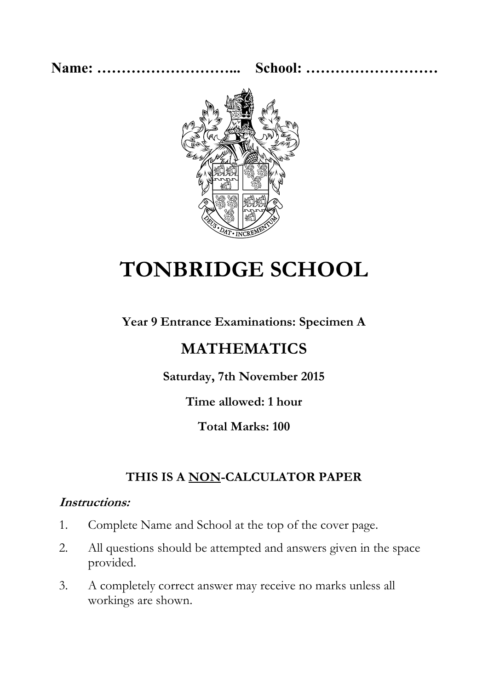**Name: ………………………... School: ………………………**



# **TONBRIDGE SCHOOL**

**Year 9 Entrance Examinations: Specimen A**

## **MATHEMATICS**

**Saturday, 7th November 2015**

**Time allowed: 1 hour** 

**Total Marks: 100**

### **THIS IS A NON-CALCULATOR PAPER**

#### **Instructions:**

- 1. Complete Name and School at the top of the cover page.
- 2. All questions should be attempted and answers given in the space provided.
- 3. A completely correct answer may receive no marks unless all workings are shown.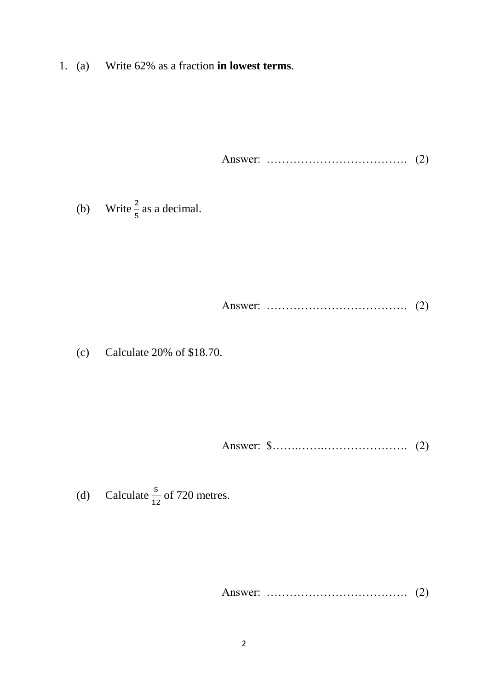1. (a) Write 62% as a fraction **in lowest terms**.

Answer: ………………………………. (2)

(b) Write  $\frac{2}{5}$  as a decimal.

Answer: ………………………………. (2)

(c) Calculate 20% of \$18.70.

Answer: \$…….…….…………………. (2)

(d) Calculate  $\frac{5}{12}$  of 720 metres.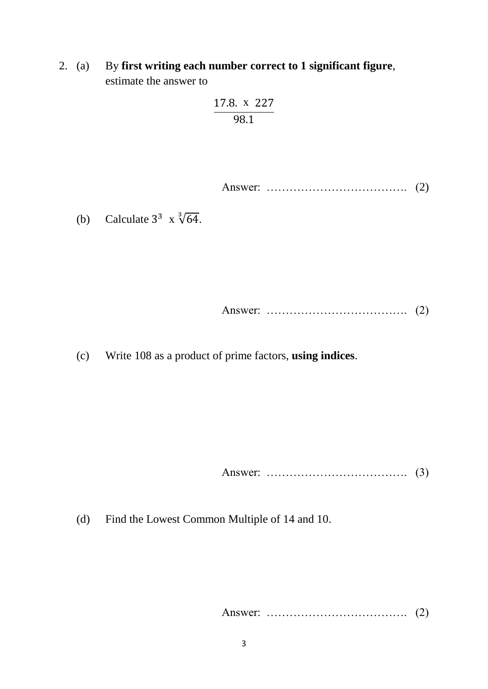2. (a) By **first writing each number correct to 1 significant figure**, estimate the answer to

$$
\frac{17.8. \ \mathrm{x}\ \ 227}{98.1}
$$

Answer: ………………………………. (2)

(b) Calculate  $3^3 \times \sqrt[3]{64}$ .

Answer: 
$$
\ldots
$$
 (2)

(c) Write 108 as a product of prime factors, **using indices**.

Answer: ………………………………. (3)

(d) Find the Lowest Common Multiple of 14 and 10.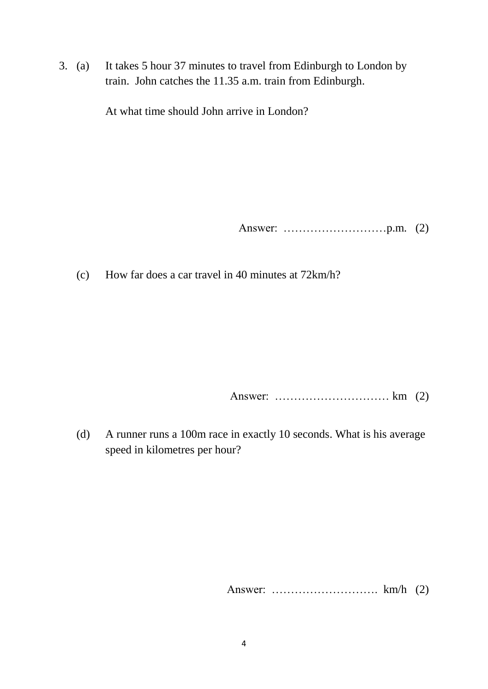3. (a) It takes 5 hour 37 minutes to travel from Edinburgh to London by train. John catches the 11.35 a.m. train from Edinburgh.

At what time should John arrive in London?

Answer: ………………………p.m. (2)

(c) How far does a car travel in 40 minutes at 72km/h?

Answer: ………………………… km (2)

(d) A runner runs a 100m race in exactly 10 seconds. What is his average speed in kilometres per hour?

Answer: ………………………. km/h (2)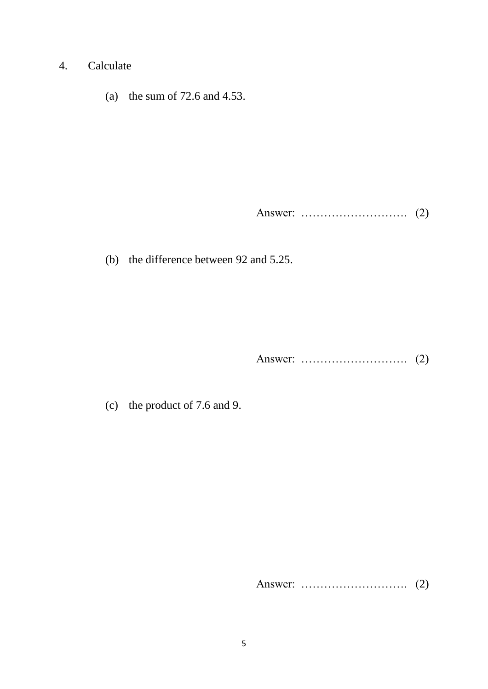- 4. Calculate
	- (a) the sum of 72.6 and 4.53.

Answer: ………………………. (2)

(b) the difference between 92 and 5.25.

Answer: ………………………. (2)

(c) the product of 7.6 and 9.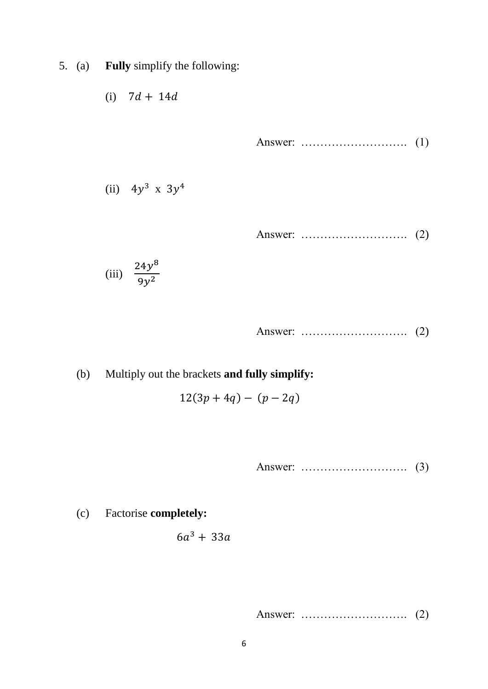5. (a) **Fully** simplify the following:

$$
(i) \quad 7d+14d
$$

Answer: ………………………. (1)

(ii)  $4y^3$  x  $3y^4$ 

Answer: ………………………. (2)

$$
(iii) \quad \frac{24y^8}{9y^2}
$$

Answer: ………………………. (2)

(b) Multiply out the brackets **and fully simplify:**

$$
12(3p + 4q) - (p - 2q)
$$

Answer: ………………………. (3)

(c) Factorise **completely:**

$$
6a^3+33a
$$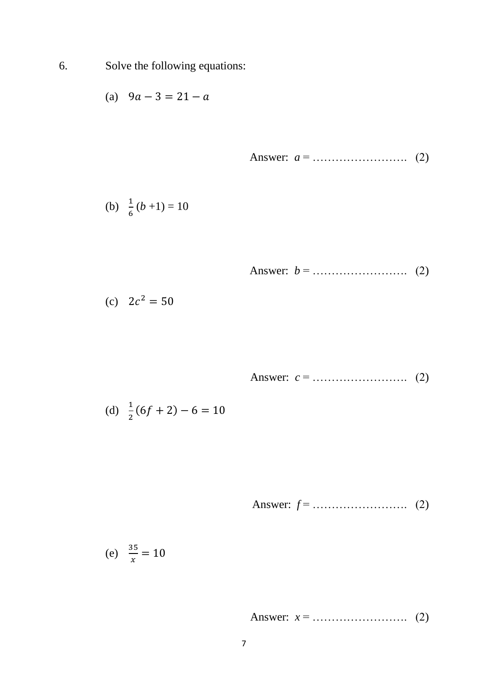6. Solve the following equations:

(a) 
$$
9a - 3 = 21 - a
$$

Answer: 
$$
a = 0.1
$$
 (2)

(b) 
$$
\frac{1}{6}(b+1) = 10
$$

Answer: 
$$
b =
$$
 (2)

$$
(c) \quad 2c^2 = 50
$$

Answer: *c* = ……………………. (2)

(d) 
$$
\frac{1}{2}(6f+2)-6=10
$$

Answer: 
$$
f =
$$
  $\ldots$   $(2)$ 

(e) 
$$
\frac{35}{x} = 10
$$

Answer: *x* = ……………………. (2)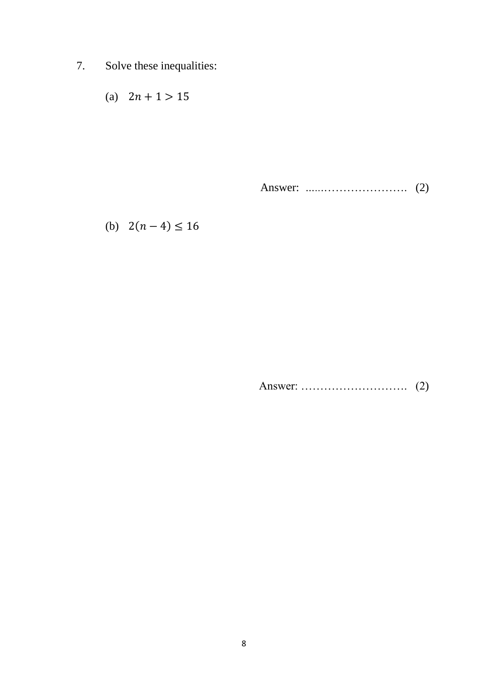7. Solve these inequalities:

$$
(a) \quad 2n+1 > 15
$$

Answer: *…..*.…………………. (2)

(b)  $2(n-4) \le 16$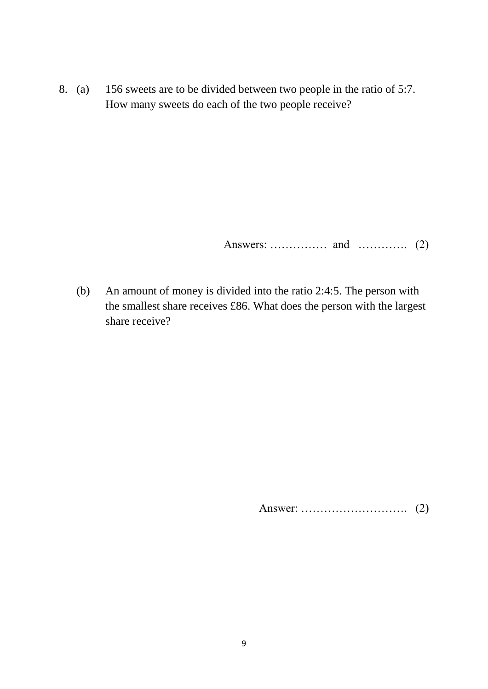8. (a) 156 sweets are to be divided between two people in the ratio of 5:7. How many sweets do each of the two people receive?

Answers: …………… and …………. (2)

(b) An amount of money is divided into the ratio 2:4:5. The person with the smallest share receives £86. What does the person with the largest share receive?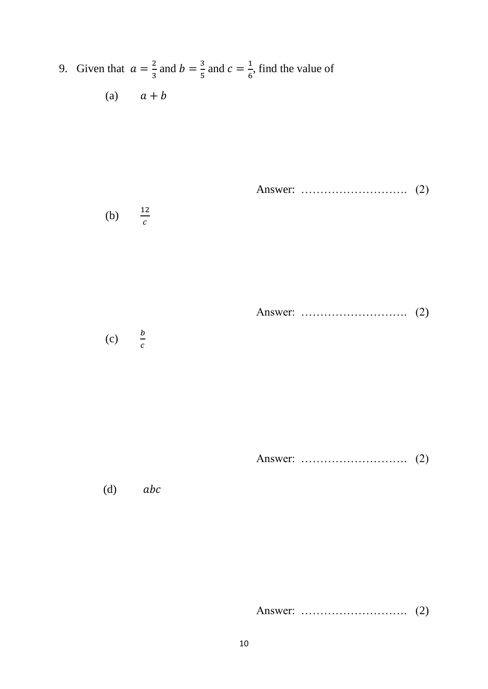9. Given that  $a = \frac{2}{3}$  $\frac{2}{3}$  and  $b = \frac{3}{5}$  $\frac{3}{5}$  and  $c = \frac{1}{6}$  $\frac{1}{6}$ , find the value of (a)  $a + b$ 

Answer: ………………………. (2)

$$
(b) \qquad \frac{12}{c}
$$

Answer: ………………………. (2)

(c)  $\frac{b}{c}$  $\mathcal{C}_{0}^{(n)}$ 

Answer: ………………………. (2)

 $(d)$  abc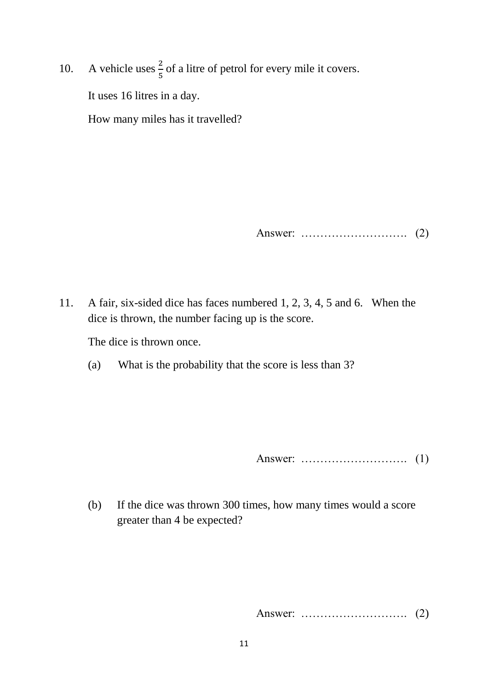10. A vehicle uses  $\frac{2}{5}$  of a litre of petrol for every mile it covers.

It uses 16 litres in a day.

How many miles has it travelled?

Answer: ………………………. (2)

11. A fair, six-sided dice has faces numbered 1, 2, 3, 4, 5 and 6. When the dice is thrown, the number facing up is the score.

The dice is thrown once.

(a) What is the probability that the score is less than 3?

Answer: ………………………. (1)

(b) If the dice was thrown 300 times, how many times would a score greater than 4 be expected?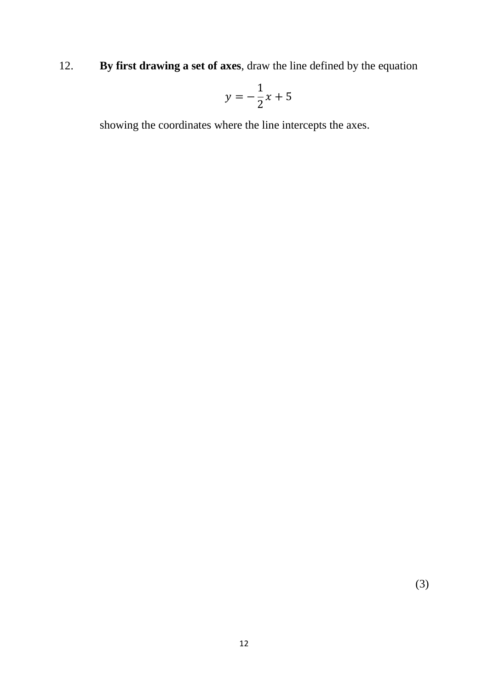12. **By first drawing a set of axes**, draw the line defined by the equation

$$
y = -\frac{1}{2}x + 5
$$

showing the coordinates where the line intercepts the axes.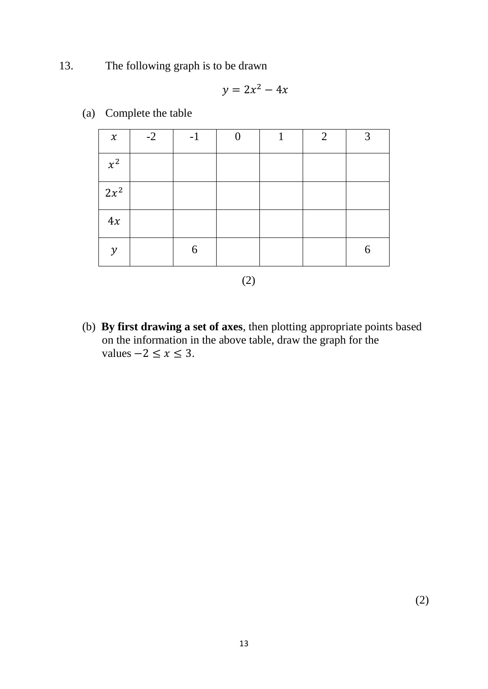13. The following graph is to be drawn

$$
y = 2x^2 - 4x
$$

| $\pmb{\chi}$  | $-2$ | $-1$ |  | $\overline{2}$ | $\mathbf 3$ |
|---------------|------|------|--|----------------|-------------|
| $x^2$         |      |      |  |                |             |
| $2x^2$        |      |      |  |                |             |
| 4x            |      |      |  |                |             |
| $\mathcal{Y}$ |      | 6    |  |                | 6           |

(a) Complete the table

(2)

(b) **By first drawing a set of axes**, then plotting appropriate points based on the information in the above table, draw the graph for the values  $-2 \le x \le 3$ .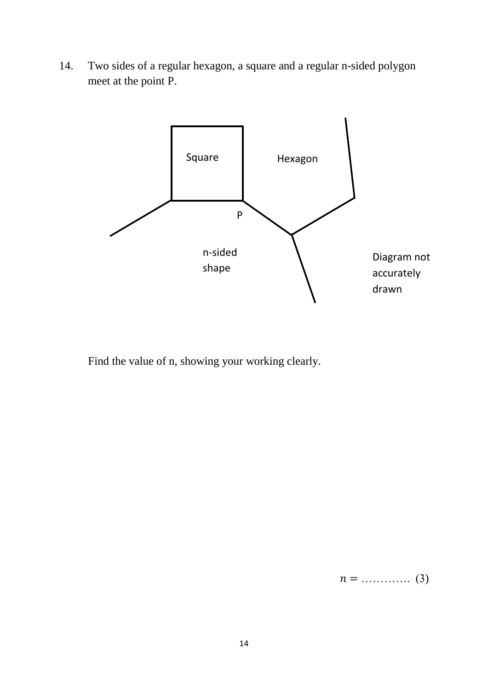14. Two sides of a regular hexagon, a square and a regular n-sided polygon meet at the point P.



Find the value of n, showing your working clearly.

 $n =$  …………. (3)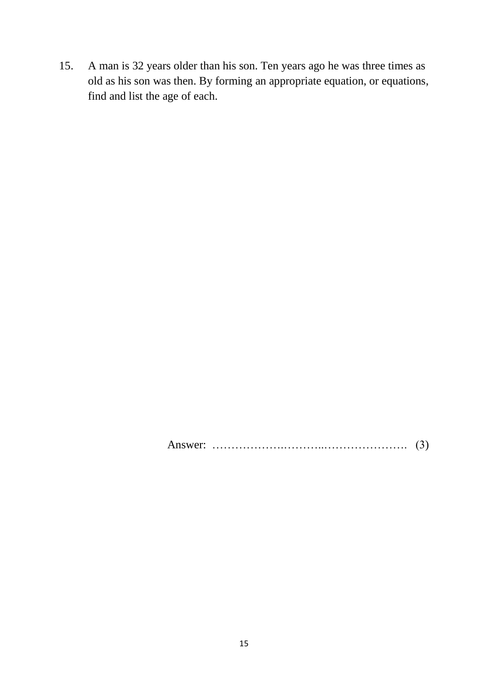15. A man is 32 years older than his son. Ten years ago he was three times as old as his son was then. By forming an appropriate equation, or equations, find and list the age of each.

Answer: ……………….………..…………………. (3)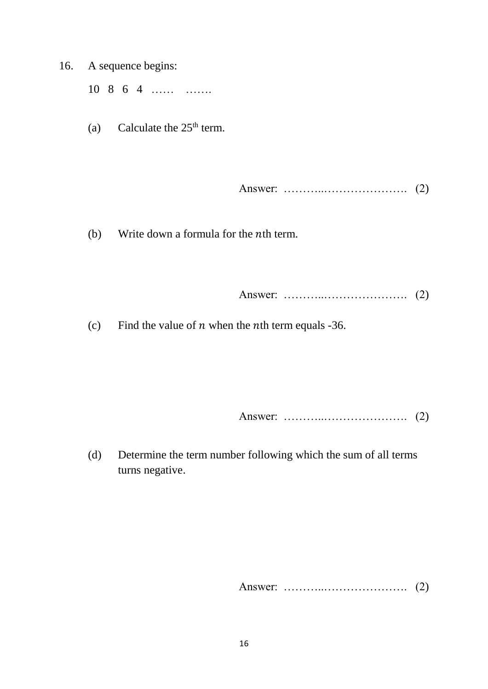16. A sequence begins:

10 8 6 4 …… …….

(a) Calculate the  $25<sup>th</sup>$  term.

Answer: ………..…………………. (2)

(b) Write down a formula for the  $n$ th term.

Answer: ………..…………………. (2)

(c) Find the value of  $n$  when the  $n$ th term equals -36.

Answer: ………..…………………. (2)

(d) Determine the term number following which the sum of all terms turns negative.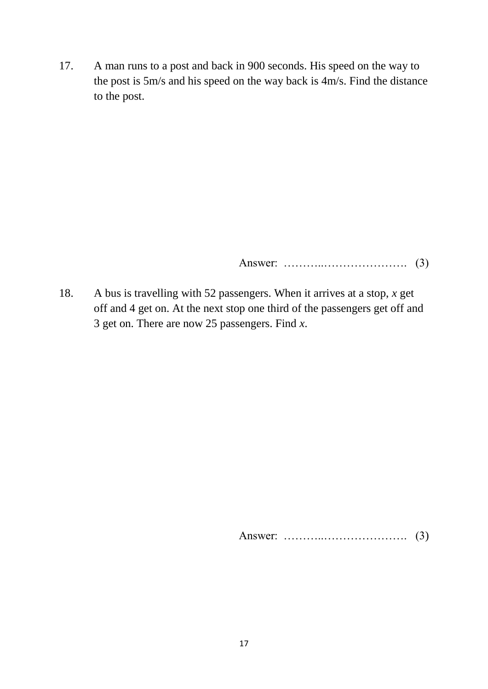17. A man runs to a post and back in 900 seconds. His speed on the way to the post is 5m/s and his speed on the way back is 4m/s. Find the distance to the post.

Answer: ………..…………………. (3)

18. A bus is travelling with 52 passengers. When it arrives at a stop, *x* get off and 4 get on. At the next stop one third of the passengers get off and 3 get on. There are now 25 passengers. Find *x*.

Answer: ………..…………………. (3)